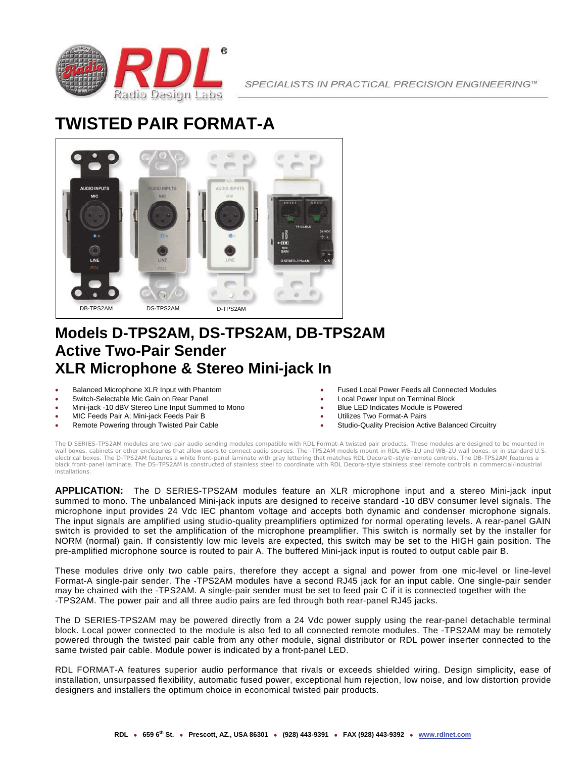

SPECIALISTS IN PRACTICAL PRECISION ENGINEERING™

# **TWISTED PAIR FORMAT-A**



#### **Models D-TPS2AM, DS-TPS2AM, DB-TPS2AM Active Two-Pair Sender XLR Microphone & Stereo Mini-jack In**

- **•** Balanced Microphone XLR Input with Phantom
- Switch-Selectable Mic Gain on Rear Panel
- Mini-jack -10 dBV Stereo Line Input Summed to Mono
- MIC Feeds Pair A; Mini-jack Feeds Pair B
- Remote Powering through Twisted Pair Cable
- Fused Local Power Feeds all Connected Modules
- Local Power Input on Terminal Block
- Blue LED Indicates Module is Powered
- Utilizes Two Format-A Pairs
- Studio-Quality Precision Active Balanced Circuitry

The D SERIES-TPS2AM modules are two-pair audio sending modules compatible with RDL Format-A twisted pair products. These modules are designed to be mounted in wall boxes, cabinets or other enclosures that allow users to connect audio sources. The -TPS2AM models mount in RDL WB-1U and WB-2U wall boxes, or in standard U.S. electrical boxes. The D-TPS2AM features a white front-panel laminate with gray lettering that matches RDL Decora©-style remote controls. The DB-TPS2AM features a black front-panel laminate. The DS-TPS2AM is constructed of stainless steel to coordinate with RDL Decora-style stainless steel remote controls in commercial/industrial installations.

**APPLICATION:** The D SERIES-TPS2AM modules feature an XLR microphone input and a stereo Mini-jack input summed to mono. The unbalanced Mini-jack inputs are designed to receive standard -10 dBV consumer level signals. The microphone input provides 24 Vdc IEC phantom voltage and accepts both dynamic and condenser microphone signals. The input signals are amplified using studio-quality preamplifiers optimized for normal operating levels. A rear-panel GAIN switch is provided to set the amplification of the microphone preamplifier. This switch is normally set by the installer for NORM (normal) gain. If consistently low mic levels are expected, this switch may be set to the HIGH gain position. The pre-amplified microphone source is routed to pair A. The buffered Mini-jack input is routed to output cable pair B.

These modules drive only two cable pairs, therefore they accept a signal and power from one mic-level or line-level Format-A single-pair sender. The -TPS2AM modules have a second RJ45 jack for an input cable. One single-pair sender may be chained with the -TPS2AM. A single-pair sender must be set to feed pair C if it is connected together with the -TPS2AM. The power pair and all three audio pairs are fed through both rear-panel RJ45 jacks.

The D SERIES-TPS2AM may be powered directly from a 24 Vdc power supply using the rear-panel detachable terminal block. Local power connected to the module is also fed to all connected remote modules. The -TPS2AM may be remotely powered through the twisted pair cable from any other module, signal distributor or RDL power inserter connected to the same twisted pair cable. Module power is indicated by a front-panel LED.

RDL FORMAT-A features superior audio performance that rivals or exceeds shielded wiring. Design simplicity, ease of installation, unsurpassed flexibility, automatic fused power, exceptional hum rejection, low noise, and low distortion provide designers and installers the optimum choice in economical twisted pair products.